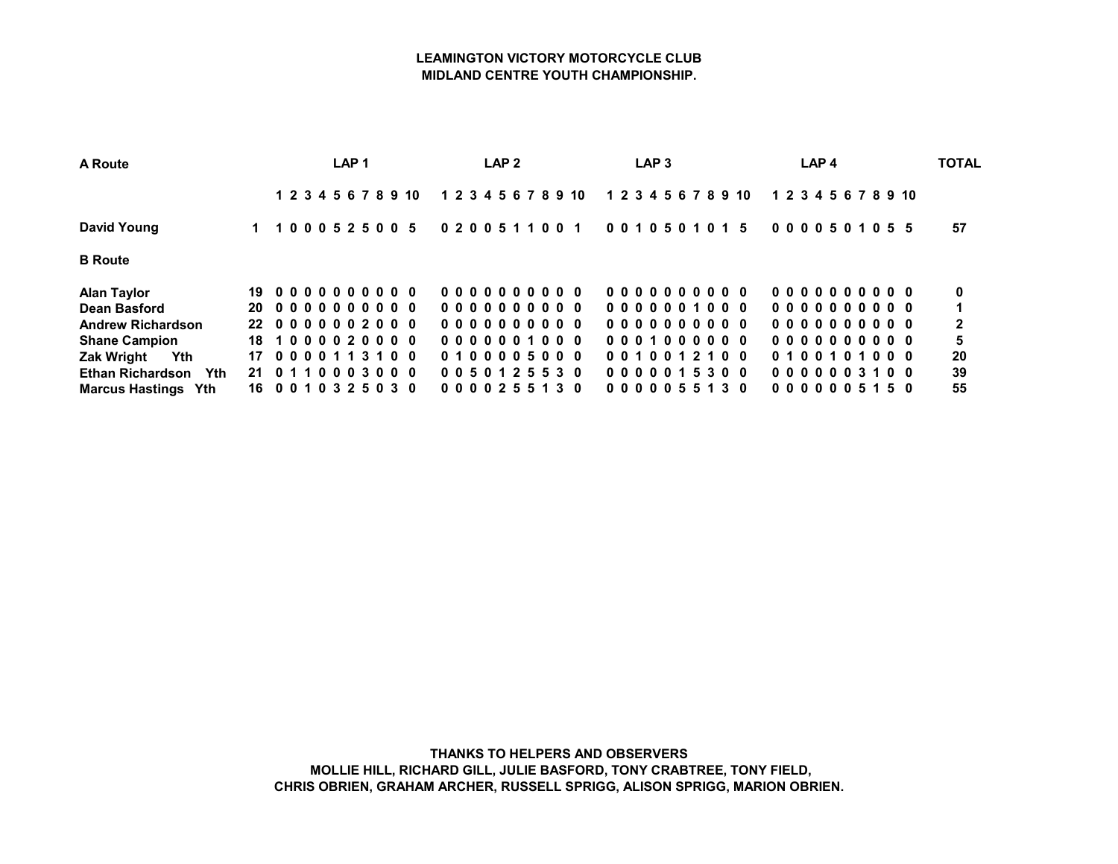## LEAMINGTON VICTORY MOTORCYCLE CLUB MIDLAND CENTRE YOUTH CHAMPIONSHIP.

| A Route                               | LAP <sub>1</sub>       |  |  |  |  |  |  |  |                      |  | LAP <sub>2</sub> |  |  |  |                      |  | LAP <sub>3</sub> |  |  |  | LAP <sub>4</sub>     |  |  |  |  |  |  |  |  |  |                      |  | <b>TOTAL</b> |  |
|---------------------------------------|------------------------|--|--|--|--|--|--|--|----------------------|--|------------------|--|--|--|----------------------|--|------------------|--|--|--|----------------------|--|--|--|--|--|--|--|--|--|----------------------|--|--------------|--|
|                                       |                        |  |  |  |  |  |  |  | 1 2 3 4 5 6 7 8 9 10 |  |                  |  |  |  | 1 2 3 4 5 6 7 8 9 10 |  |                  |  |  |  | 1 2 3 4 5 6 7 8 9 10 |  |  |  |  |  |  |  |  |  | 1 2 3 4 5 6 7 8 9 10 |  |              |  |
| David Young                           |                        |  |  |  |  |  |  |  | 1 1000525005         |  |                  |  |  |  | 0 2 0 0 5 1 1 0 0 1  |  |                  |  |  |  | 0010501015           |  |  |  |  |  |  |  |  |  | 0000501055           |  | 57           |  |
| <b>B</b> Route                        |                        |  |  |  |  |  |  |  |                      |  |                  |  |  |  |                      |  |                  |  |  |  |                      |  |  |  |  |  |  |  |  |  |                      |  |              |  |
| <b>Alan Taylor</b>                    | 190000000000           |  |  |  |  |  |  |  |                      |  |                  |  |  |  | 0000000000           |  |                  |  |  |  | 0000000000           |  |  |  |  |  |  |  |  |  | 0000000000           |  | 0            |  |
| Dean Basford                          | 20 0000000000          |  |  |  |  |  |  |  |                      |  |                  |  |  |  | 0000000000           |  |                  |  |  |  | 0000001000           |  |  |  |  |  |  |  |  |  | 0000000000           |  |              |  |
| <b>Andrew Richardson</b>              | 22 0000002000          |  |  |  |  |  |  |  |                      |  |                  |  |  |  | 0000000000           |  |                  |  |  |  | 0000000000           |  |  |  |  |  |  |  |  |  | 0000000000           |  | $\mathbf{2}$ |  |
| <b>Shane Campion</b>                  | 18 1 0 0 0 0 2 0 0 0 0 |  |  |  |  |  |  |  |                      |  |                  |  |  |  | 0000001000           |  |                  |  |  |  | 0001000000           |  |  |  |  |  |  |  |  |  | 0000000000           |  | 5            |  |
| <b>Zak Wright</b><br>Yth              | 17 0 0 0 0 1 1 3 1 0 0 |  |  |  |  |  |  |  |                      |  |                  |  |  |  | 0100005000           |  |                  |  |  |  | 0010012100           |  |  |  |  |  |  |  |  |  | 0100101000           |  | 20           |  |
| <b>Ethan Richardson</b><br><b>Yth</b> | 21 0 1 1 0 0 0 3 0 0 0 |  |  |  |  |  |  |  |                      |  |                  |  |  |  | 0050125530           |  |                  |  |  |  | 0000015300           |  |  |  |  |  |  |  |  |  | 0000003100           |  | 39           |  |
| <b>Marcus Hastings Yth</b>            | 16 0 0 1 0 3 2 5 0 3 0 |  |  |  |  |  |  |  |                      |  |                  |  |  |  | 0000255130           |  |                  |  |  |  | 0000055130           |  |  |  |  |  |  |  |  |  | 0000005150           |  | 55           |  |

THANKS TO HELPERS AND OBSERVERS MOLLIE HILL, RICHARD GILL, JULIE BASFORD, TONY CRABTREE, TONY FIELD, CHRIS OBRIEN, GRAHAM ARCHER, RUSSELL SPRIGG, ALISON SPRIGG, MARION OBRIEN.